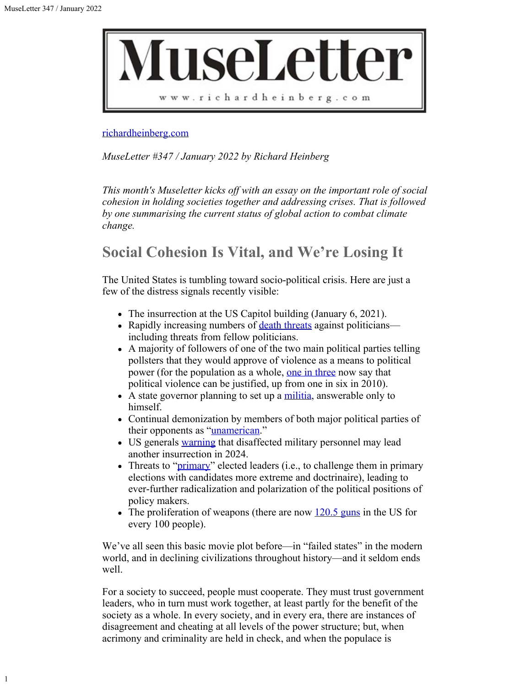1



#### [richardheinberg.com](http://richardheinberg.com/)

*MuseLetter #347 / January 2022 by Richard Heinberg*

*This month's Museletter kicks off with an essay on the important role of social cohesion in holding societies together and addressing crises. That is followed by one summarising the current status of global action to combat climate change.*

# **Social Cohesion Is Vital, and We're Losing It**

The United States is tumbling toward socio-political crisis. Here are just a few of the distress signals recently visible:

- The insurrection at the US Capitol building (January 6, 2021).
- Rapidly increasing numbers of [death threats](https://www.newsweek.com/death-threats-members-congress-have-doubled-this-year-capitol-police-say-1592587) against politicians including threats from fellow politicians.
- A majority of followers of one of the two main political parties telling pollsters that they would approve of violence as a means to political power (for the population as a whole, [one in three](https://www.washingtonpost.com/politics/2022/01/01/1-3-americans-say-violence-against-government-can-be-justified-citing-fears-political-schism-pandemic/) now say that political violence can be justified, up from one in six in 2010).
- $\bullet$  A state governor planning to set up a [militia](https://nbc-2.com/news/politics/2021/12/06/governor-desantis-wants-to-create-state-militia-using-taxpayer-dollars/), answerable only to himself.
- Continual demonization by members of both major political parties of their opponents as ["unamerican](https://www.pewresearch.org/politics/2019/10/10/how-partisans-view-each-other/)."
- US generals [warning](https://www.newsweek.com/paul-eaton-npr-january-6-insurrection-trump-1664661) that disaffected military personnel may lead another insurrection in 2024.
- Threats to "*primary*" elected leaders (i.e., to challenge them in primary elections with candidates more extreme and doctrinaire), leading to ever-further radicalization and polarization of the political positions of policy makers.
- The proliferation of weapons (there are now  $120.5$  guns in the US for every 100 people).

We've all seen this basic movie plot before—in "failed states" in the modern world, and in declining civilizations throughout history—and it seldom ends well.

For a society to succeed, people must cooperate. They must trust government leaders, who in turn must work together, at least partly for the benefit of the society as a whole. In every society, and in every era, there are instances of disagreement and cheating at all levels of the power structure; but, when acrimony and criminality are held in check, and when the populace is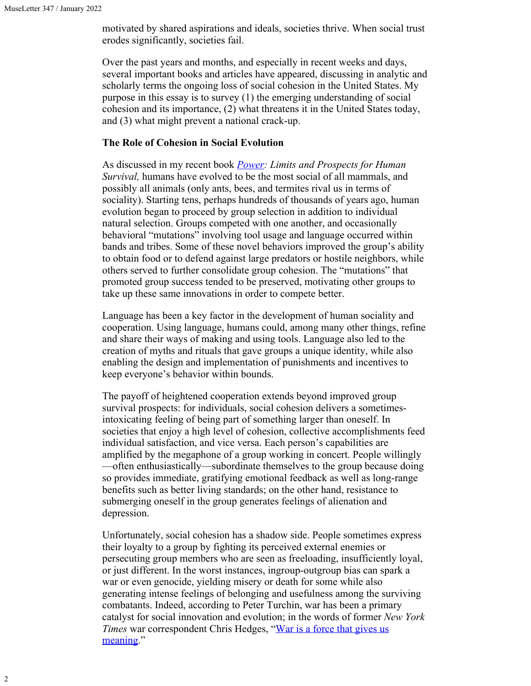motivated by shared aspirations and ideals, societies thrive. When social trust erodes significantly, societies fail.

Over the past years and months, and especially in recent weeks and days, several important books and articles have appeared, discussing in analytic and scholarly terms the ongoing loss of social cohesion in the United States. My purpose in this essay is to survey (1) the emerging understanding of social cohesion and its importance, (2) what threatens it in the United States today, and (3) what might prevent a national crack-up.

### **The Role of Cohesion in Social Evolution**

As discussed in my recent book *[Power](https://newsociety.com/blogs/news/introduction-to-power-by-richard-heinberg): Limits and Prospects for Human Survival,* humans have evolved to be the most social of all mammals, and possibly all animals (only ants, bees, and termites rival us in terms of sociality). Starting tens, perhaps hundreds of thousands of years ago, human evolution began to proceed by group selection in addition to individual natural selection. Groups competed with one another, and occasionally behavioral "mutations" involving tool usage and language occurred within bands and tribes. Some of these novel behaviors improved the group's ability to obtain food or to defend against large predators or hostile neighbors, while others served to further consolidate group cohesion. The "mutations" that promoted group success tended to be preserved, motivating other groups to take up these same innovations in order to compete better.

Language has been a key factor in the development of human sociality and cooperation. Using language, humans could, among many other things, refine and share their ways of making and using tools. Language also led to the creation of myths and rituals that gave groups a unique identity, while also enabling the design and implementation of punishments and incentives to keep everyone's behavior within bounds.

The payoff of heightened cooperation extends beyond improved group survival prospects: for individuals, social cohesion delivers a sometimesintoxicating feeling of being part of something larger than oneself. In societies that enjoy a high level of cohesion, collective accomplishments feed individual satisfaction, and vice versa. Each person's capabilities are amplified by the megaphone of a group working in concert. People willingly —often enthusiastically—subordinate themselves to the group because doing so provides immediate, gratifying emotional feedback as well as long-range benefits such as better living standards; on the other hand, resistance to submerging oneself in the group generates feelings of alienation and depression.

Unfortunately, social cohesion has a shadow side. People sometimes express their loyalty to a group by fighting its perceived external enemies or persecuting group members who are seen as freeloading, insufficiently loyal, or just different. In the worst instances, ingroup-outgroup bias can spark a war or even genocide, yielding misery or death for some while also generating intense feelings of belonging and usefulness among the surviving combatants. Indeed, according to Peter Turchin, war has been a primary catalyst for social innovation and evolution; in the words of former *New York Times* war correspondent Chris Hedges, "[War is a force that gives us](https://www.publicaffairsbooks.com/titles/chris-hedges/war-is-a-force-that-gives-us-meaning/9781610393591/) [meaning](https://www.publicaffairsbooks.com/titles/chris-hedges/war-is-a-force-that-gives-us-meaning/9781610393591/)."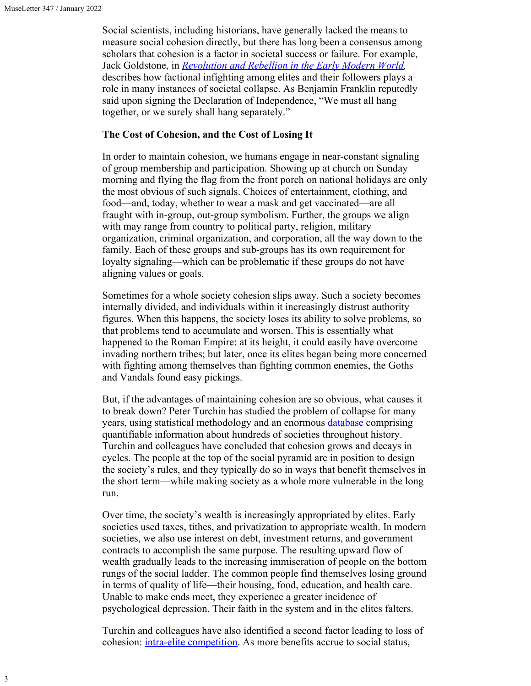Social scientists, including historians, have generally lacked the means to measure social cohesion directly, but there has long been a consensus among scholars that cohesion is a factor in societal success or failure. For example, Jack Goldstone, in *[Revolution and Rebellion in the Early Modern World](https://www.routledge.com/Revolution-and-Rebellion-in-the-Early-Modern-World-Population-Change-and/Goldstone/p/book/9781138222120),* describes how factional infighting among elites and their followers plays a role in many instances of societal collapse. As Benjamin Franklin reputedly said upon signing the Declaration of Independence, "We must all hang together, or we surely shall hang separately."

#### **The Cost of Cohesion, and the Cost of Losing It**

In order to maintain cohesion, we humans engage in near-constant signaling of group membership and participation. Showing up at church on Sunday morning and flying the flag from the front porch on national holidays are only the most obvious of such signals. Choices of entertainment, clothing, and food—and, today, whether to wear a mask and get vaccinated—are all fraught with in-group, out-group symbolism. Further, the groups we align with may range from country to political party, religion, military organization, criminal organization, and corporation, all the way down to the family. Each of these groups and sub-groups has its own requirement for loyalty signaling—which can be problematic if these groups do not have aligning values or goals.

Sometimes for a whole society cohesion slips away. Such a society becomes internally divided, and individuals within it increasingly distrust authority figures. When this happens, the society loses its ability to solve problems, so that problems tend to accumulate and worsen. This is essentially what happened to the Roman Empire: at its height, it could easily have overcome invading northern tribes; but later, once its elites began being more concerned with fighting among themselves than fighting common enemies, the Goths and Vandals found easy pickings.

But, if the advantages of maintaining cohesion are so obvious, what causes it to break down? Peter Turchin has studied the problem of collapse for many years, using statistical methodology and an enormous **[database](http://seshatdatabank.info/)** comprising quantifiable information about hundreds of societies throughout history. Turchin and colleagues have concluded that cohesion grows and decays in cycles. The people at the top of the social pyramid are in position to design the society's rules, and they typically do so in ways that benefit themselves in the short term—while making society as a whole more vulnerable in the long run.

Over time, the society's wealth is increasingly appropriated by elites. Early societies used taxes, tithes, and privatization to appropriate wealth. In modern societies, we also use interest on debt, investment returns, and government contracts to accomplish the same purpose. The resulting upward flow of wealth gradually leads to the increasing immiseration of people on the bottom rungs of the social ladder. The common people find themselves losing ground in terms of quality of life—their housing, food, education, and health care. Unable to make ends meet, they experience a greater incidence of psychological depression. Their faith in the system and in the elites falters.

Turchin and colleagues have also identified a second factor leading to loss of cohesion: *intra-elite competition*. As more benefits accrue to social status,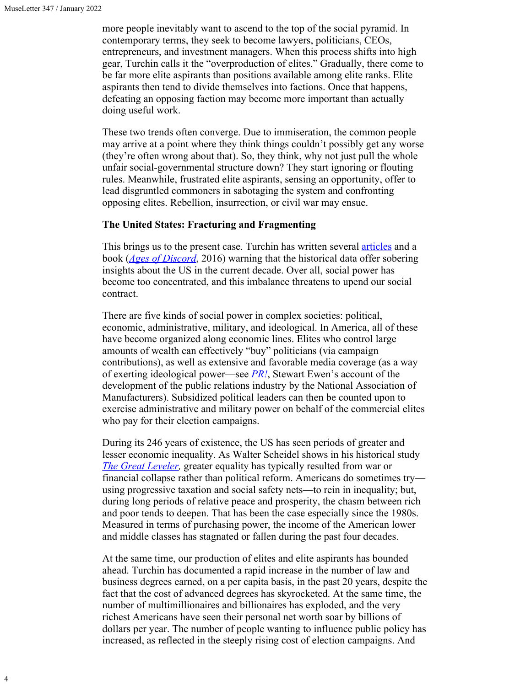4

more people inevitably want to ascend to the top of the social pyramid. In contemporary terms, they seek to become lawyers, politicians, CEOs, entrepreneurs, and investment managers. When this process shifts into high gear, Turchin calls it the "overproduction of elites." Gradually, there come to be far more elite aspirants than positions available among elite ranks. Elite aspirants then tend to divide themselves into factions. Once that happens, defeating an opposing faction may become more important than actually doing useful work.

These two trends often converge. Due to immiseration, the common people may arrive at a point where they think things couldn't possibly get any worse (they're often wrong about that). So, they think, why not just pull the whole unfair social-governmental structure down? They start ignoring or flouting rules. Meanwhile, frustrated elite aspirants, sensing an opportunity, offer to lead disgruntled commoners in sabotaging the system and confronting opposing elites. Rebellion, insurrection, or civil war may ensue.

#### **The United States: Fracturing and Fragmenting**

This brings us to the present case. Turchin has written several **articles** and a book (*[Ages of Discord](https://peterturchin.com/ages-of-discord/)*, 2016) warning that the historical data offer sobering insights about the US in the current decade. Over all, social power has become too concentrated, and this imbalance threatens to upend our social contract.

There are five kinds of social power in complex societies: political, economic, administrative, military, and ideological. In America, all of these have become organized along economic lines. Elites who control large amounts of wealth can effectively "buy" politicians (via campaign contributions), as well as extensive and favorable media coverage (as a way of exerting ideological power—see *[PR!](https://www.basicbooks.com/titles/stuart-ewen/pr/9780465061792/)*, Stewart Ewen's account of the development of the public relations industry by the National Association of Manufacturers). Subsidized political leaders can then be counted upon to exercise administrative and military power on behalf of the commercial elites who pay for their election campaigns.

During its 246 years of existence, the US has seen periods of greater and lesser economic inequality. As Walter Scheidel shows in his historical study *[The Great Leveler,](https://press.princeton.edu/books/paperback/9780691183251/the-great-leveler)* greater equality has typically resulted from war or financial collapse rather than political reform. Americans do sometimes try using progressive taxation and social safety nets—to rein in inequality; but, during long periods of relative peace and prosperity, the chasm between rich and poor tends to deepen. That has been the case especially since the 1980s. Measured in terms of purchasing power, the income of the American lower and middle classes has stagnated or fallen during the past four decades.

At the same time, our production of elites and elite aspirants has bounded ahead. Turchin has documented a rapid increase in the number of law and business degrees earned, on a per capita basis, in the past 20 years, despite the fact that the cost of advanced degrees has skyrocketed. At the same time, the number of multimillionaires and billionaires has exploded, and the very richest Americans have seen their personal net worth soar by billions of dollars per year. The number of people wanting to influence public policy has increased, as reflected in the steeply rising cost of election campaigns. And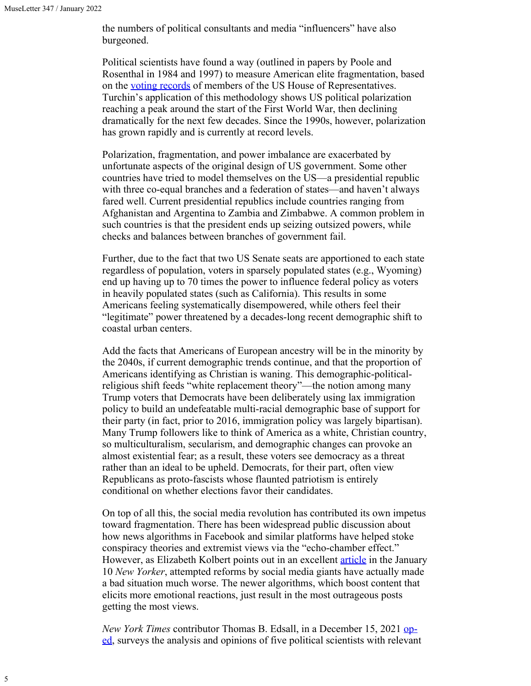the numbers of political consultants and media "influencers" have also burgeoned.

Political scientists have found a way (outlined in papers by Poole and Rosenthal in 1984 and 1997) to measure American elite fragmentation, based on the [voting records](https://voteview.com/) of members of the US House of Representatives. Turchin's application of this methodology shows US political polarization reaching a peak around the start of the First World War, then declining dramatically for the next few decades. Since the 1990s, however, polarization has grown rapidly and is currently at record levels.

Polarization, fragmentation, and power imbalance are exacerbated by unfortunate aspects of the original design of US government. Some other countries have tried to model themselves on the US—a presidential republic with three co-equal branches and a federation of states—and haven't always fared well. Current presidential republics include countries ranging from Afghanistan and Argentina to Zambia and Zimbabwe. A common problem in such countries is that the president ends up seizing outsized powers, while checks and balances between branches of government fail.

Further, due to the fact that two US Senate seats are apportioned to each state regardless of population, voters in sparsely populated states (e.g., Wyoming) end up having up to 70 times the power to influence federal policy as voters in heavily populated states (such as California). This results in some Americans feeling systematically disempowered, while others feel their "legitimate" power threatened by a decades-long recent demographic shift to coastal urban centers.

Add the facts that Americans of European ancestry will be in the minority by the 2040s, if current demographic trends continue, and that the proportion of Americans identifying as Christian is waning. This demographic-politicalreligious shift feeds "white replacement theory"—the notion among many Trump voters that Democrats have been deliberately using lax immigration policy to build an undefeatable multi-racial demographic base of support for their party (in fact, prior to 2016, immigration policy was largely bipartisan). Many Trump followers like to think of America as a white, Christian country, so multiculturalism, secularism, and demographic changes can provoke an almost existential fear; as a result, these voters see democracy as a threat rather than an ideal to be upheld. Democrats, for their part, often view Republicans as proto-fascists whose flaunted patriotism is entirely conditional on whether elections favor their candidates.

On top of all this, the social media revolution has contributed its own impetus toward fragmentation. There has been widespread public discussion about how news algorithms in Facebook and similar platforms have helped stoke conspiracy theories and extremist views via the "echo-chamber effect." However, as Elizabeth Kolbert points out in an excellent *[article](https://www.newyorker.com/magazine/2022/01/03/how-politics-got-so-polarized)* in the January 10 *New Yorker*, attempted reforms by social media giants have actually made a bad situation much worse. The newer algorithms, which boost content that elicits more emotional reactions, just result in the most outrageous posts getting the most views.

*New York Times* contributor Thomas B. Edsall, in a December 15, 2021 [op](https://www.nytimes.com/2021/12/15/opinion/republicans-democracy-minority-rule.html)[ed](https://www.nytimes.com/2021/12/15/opinion/republicans-democracy-minority-rule.html), surveys the analysis and opinions of five political scientists with relevant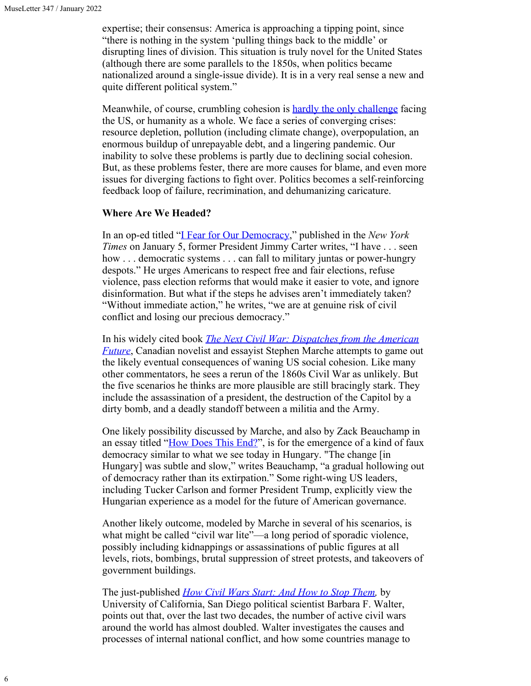expertise; their consensus: America is approaching a tipping point, since "there is nothing in the system 'pulling things back to the middle' or disrupting lines of division. This situation is truly novel for the United States (although there are some parallels to the 1850s, when politics became nationalized around a single-issue divide). It is in a very real sense a new and quite different political system."

Meanwhile, of course, crumbling cohesion is **hardly the only challenge** facing the US, or humanity as a whole. We face a series of converging crises: resource depletion, pollution (including climate change), overpopulation, an enormous buildup of unrepayable debt, and a lingering pandemic. Our inability to solve these problems is partly due to declining social cohesion. But, as these problems fester, there are more causes for blame, and even more issues for diverging factions to fight over. Politics becomes a self-reinforcing feedback loop of failure, recrimination, and dehumanizing caricature.

#### **Where Are We Headed?**

In an op-ed titled ["I Fear for Our Democracy](https://www.nytimes.com/2022/01/05/opinion/jan-6-jimmy-carter.html)," published in the *New York Times* on January 5, former President Jimmy Carter writes, "I have . . . seen how . . . democratic systems . . . can fall to military juntas or power-hungry despots." He urges Americans to respect free and fair elections, refuse violence, pass election reforms that would make it easier to vote, and ignore disinformation. But what if the steps he advises aren't immediately taken? "Without immediate action," he writes, "we are at genuine risk of civil conflict and losing our precious democracy."

In his widely cited book *[The Next Civil War: Dispatches from the American](https://booksandbookskw.com/the-next-civil-war-dispatches-from-the-american-future-by-stephen-marche/) [Future](https://booksandbookskw.com/the-next-civil-war-dispatches-from-the-american-future-by-stephen-marche/)*, Canadian novelist and essayist Stephen Marche attempts to game out the likely eventual consequences of waning US social cohesion. Like many other commentators, he sees a rerun of the 1860s Civil War as unlikely. But the five scenarios he thinks are more plausible are still bracingly stark. They include the assassination of a president, the destruction of the Capitol by a dirty bomb, and a deadly standoff between a militia and the Army.

One likely possibility discussed by Marche, and also by Zack Beauchamp in an essay titled ["How Does This End?](https://www.vox.com/policy-and-politics/22814025/democracy-trump-january-6-capitol-riot-election-violence)", is for the emergence of a kind of faux democracy similar to what we see today in Hungary. "The change [in Hungary] was subtle and slow," writes Beauchamp, "a gradual hollowing out of democracy rather than its extirpation." Some right-wing US leaders, including Tucker Carlson and former President Trump, explicitly view the Hungarian experience as a model for the future of American governance.

Another likely outcome, modeled by Marche in several of his scenarios, is what might be called "civil war lite"—a long period of sporadic violence, possibly including kidnappings or assassinations of public figures at all levels, riots, bombings, brutal suppression of street protests, and takeovers of government buildings.

The just-published *[How Civil Wars Start: And How to Stop Them](https://www.penguinrandomhouse.com/books/624156/how-civil-wars-start-by-barbara-f-walter/),* by University of California, San Diego political scientist Barbara F. Walter, points out that, over the last two decades, the number of active civil wars around the world has almost doubled. Walter investigates the causes and processes of internal national conflict, and how some countries manage to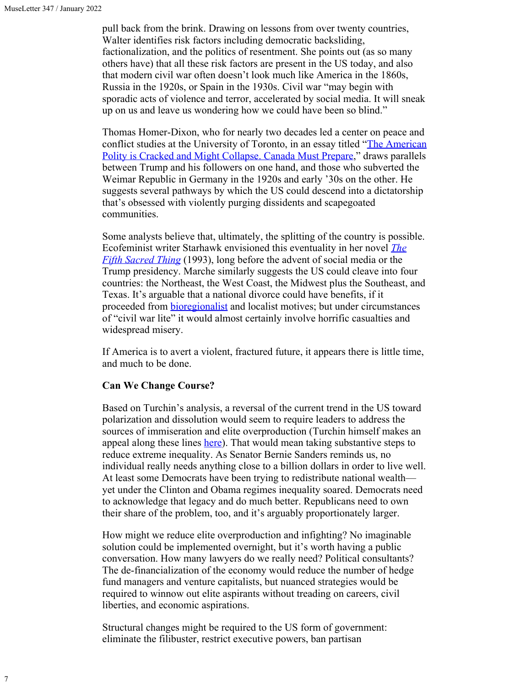pull back from the brink. Drawing on lessons from over twenty countries, Walter identifies risk factors including democratic backsliding, factionalization, and the politics of resentment. She points out (as so many others have) that all these risk factors are present in the US today, and also that modern civil war often doesn't look much like America in the 1860s, Russia in the 1920s, or Spain in the 1930s. Civil war "may begin with sporadic acts of violence and terror, accelerated by social media. It will sneak up on us and leave us wondering how we could have been so blind."

Thomas Homer-Dixon, who for nearly two decades led a center on peace and conflict studies at the University of Toronto, in an essay titled ["The American](https://www.theglobeandmail.com/opinion/article-the-american-polity-is-cracked-and-might-collapse-canada-must-prepare/) [Polity is Cracked and Might Collapse. Canada Must Prepare,](https://www.theglobeandmail.com/opinion/article-the-american-polity-is-cracked-and-might-collapse-canada-must-prepare/)" draws parallels between Trump and his followers on one hand, and those who subverted the Weimar Republic in Germany in the 1920s and early '30s on the other. He suggests several pathways by which the US could descend into a dictatorship that's obsessed with violently purging dissidents and scapegoated communities.

Some analysts believe that, ultimately, the splitting of the country is possible. Ecofeminist writer Starhawk envisioned this eventuality in her novel *[The](https://en.wikipedia.org/wiki/The_Fifth_Sacred_Thing) [Fifth Sacred Thing](https://en.wikipedia.org/wiki/The_Fifth_Sacred_Thing)* (1993), long before the advent of social media or the Trump presidency. Marche similarly suggests the US could cleave into four countries: the Northeast, the West Coast, the Midwest plus the Southeast, and Texas. It's arguable that a national divorce could have benefits, if it proceeded from **bioregionalist** and localist motives; but under circumstances of "civil war lite" it would almost certainly involve horrific casualties and widespread misery.

If America is to avert a violent, fractured future, it appears there is little time, and much to be done.

#### **Can We Change Course?**

Based on Turchin's analysis, a reversal of the current trend in the US toward polarization and dissolution would seem to require leaders to address the sources of immiseration and elite overproduction (Turchin himself makes an appeal along these lines [here](https://peterturchin.com/cliodynamica/appeal-american-elites-one/)). That would mean taking substantive steps to reduce extreme inequality. As Senator Bernie Sanders reminds us, no individual really needs anything close to a billion dollars in order to live well. At least some Democrats have been trying to redistribute national wealth yet under the Clinton and Obama regimes inequality soared. Democrats need to acknowledge that legacy and do much better. Republicans need to own their share of the problem, too, and it's arguably proportionately larger.

How might we reduce elite overproduction and infighting? No imaginable solution could be implemented overnight, but it's worth having a public conversation. How many lawyers do we really need? Political consultants? The de-financialization of the economy would reduce the number of hedge fund managers and venture capitalists, but nuanced strategies would be required to winnow out elite aspirants without treading on careers, civil liberties, and economic aspirations.

Structural changes might be required to the US form of government: eliminate the filibuster, restrict executive powers, ban partisan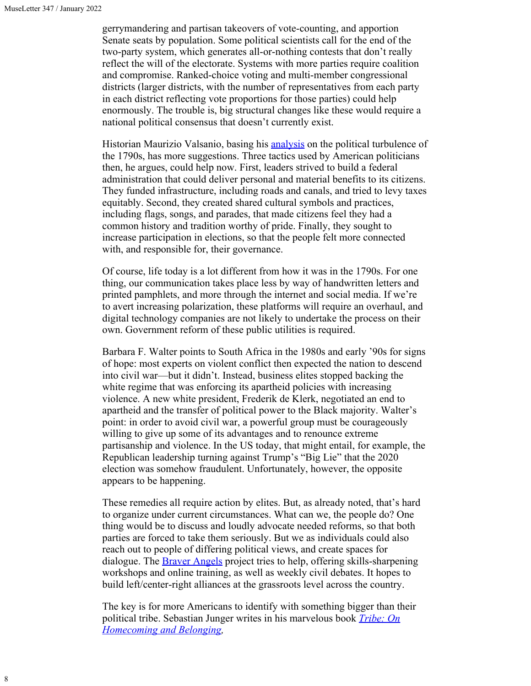gerrymandering and partisan takeovers of vote-counting, and apportion Senate seats by population. Some political scientists call for the end of the two-party system, which generates all-or-nothing contests that don't really reflect the will of the electorate. Systems with more parties require coalition and compromise. Ranked-choice voting and multi-member congressional districts (larger districts, with the number of representatives from each party in each district reflecting vote proportions for those parties) could help enormously. The trouble is, big structural changes like these would require a national political consensus that doesn't currently exist.

Historian Maurizio Valsanio, basing his [analysis](https://theconversation.com/political-rage-america-survived-a-decade-of-anger-in-the-18th-century-but-can-it-now-172179) on the political turbulence of the 1790s, has more suggestions. Three tactics used by American politicians then, he argues, could help now. First, leaders strived to build a federal administration that could deliver personal and material benefits to its citizens. They funded infrastructure, including roads and canals, and tried to levy taxes equitably. Second, they created shared cultural symbols and practices, including flags, songs, and parades, that made citizens feel they had a common history and tradition worthy of pride. Finally, they sought to increase participation in elections, so that the people felt more connected with, and responsible for, their governance.

Of course, life today is a lot different from how it was in the 1790s. For one thing, our communication takes place less by way of handwritten letters and printed pamphlets, and more through the internet and social media. If we're to avert increasing polarization, these platforms will require an overhaul, and digital technology companies are not likely to undertake the process on their own. Government reform of these public utilities is required.

Barbara F. Walter points to South Africa in the 1980s and early '90s for signs of hope: most experts on violent conflict then expected the nation to descend into civil war—but it didn't. Instead, business elites stopped backing the white regime that was enforcing its apartheid policies with increasing violence. A new white president, Frederik de Klerk, negotiated an end to apartheid and the transfer of political power to the Black majority. Walter's point: in order to avoid civil war, a powerful group must be courageously willing to give up some of its advantages and to renounce extreme partisanship and violence. In the US today, that might entail, for example, the Republican leadership turning against Trump's "Big Lie" that the 2020 election was somehow fraudulent. Unfortunately, however, the opposite appears to be happening.

These remedies all require action by elites. But, as already noted, that's hard to organize under current circumstances. What can we, the people do? One thing would be to discuss and loudly advocate needed reforms, so that both parties are forced to take them seriously. But we as individuals could also reach out to people of differing political views, and create spaces for dialogue. The **Braver Angels** project tries to help, offering skills-sharpening workshops and online training, as well as weekly civil debates. It hopes to build left/center-right alliances at the grassroots level across the country.

The key is for more Americans to identify with something bigger than their political tribe. Sebastian Junger writes in his marvelous book *[Tribe: On](https://www.goodreads.com/work/quotes/47206763) [Homecoming and Belonging](https://www.goodreads.com/work/quotes/47206763),*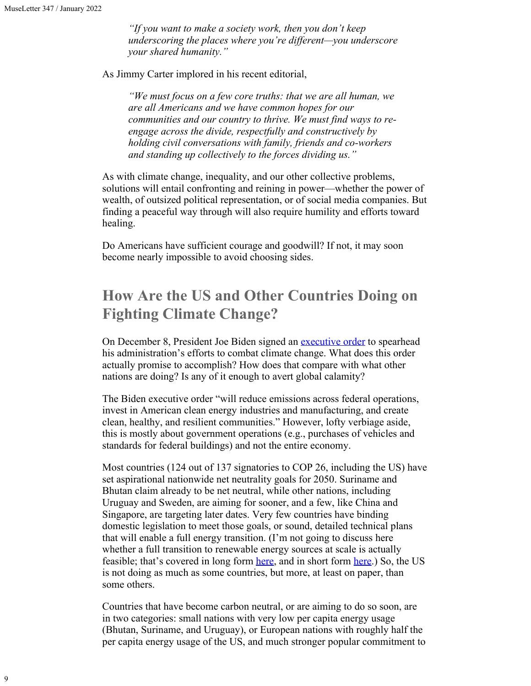*"If you want to make a society work, then you don't keep underscoring the places where you're different—you underscore your shared humanity."*

As Jimmy Carter implored in his recent editorial,

*"We must focus on a few core truths: that we are all human, we are all Americans and we have common hopes for our communities and our country to thrive. We must find ways to reengage across the divide, respectfully and constructively by holding civil conversations with family, friends and co-workers and standing up collectively to the forces dividing us."*

As with climate change, inequality, and our other collective problems, solutions will entail confronting and reining in power—whether the power of wealth, of outsized political representation, or of social media companies. But finding a peaceful way through will also require humility and efforts toward healing.

Do Americans have sufficient courage and goodwill? If not, it may soon become nearly impossible to avoid choosing sides.

## **How Are the US and Other Countries Doing on Fighting Climate Change?**

On December 8, President Joe Biden signed an [executive order](https://www.whitehouse.gov/briefing-room/statements-releases/2021/12/08/fact-sheet-president-biden-signs-executive-order-catalyzing-americas-clean-energy-economy-through-federal-sustainability/) to spearhead his administration's efforts to combat climate change. What does this order actually promise to accomplish? How does that compare with what other nations are doing? Is any of it enough to avert global calamity?

The Biden executive order "will reduce emissions across federal operations, invest in American clean energy industries and manufacturing, and create clean, healthy, and resilient communities." However, lofty verbiage aside, this is mostly about government operations (e.g., purchases of vehicles and standards for federal buildings) and not the entire economy.

Most countries (124 out of 137 signatories to COP 26, including the US) have set aspirational nationwide net neutrality goals for 2050. Suriname and Bhutan claim already to be net neutral, while other nations, including Uruguay and Sweden, are aiming for sooner, and a few, like China and Singapore, are targeting later dates. Very few countries have binding domestic legislation to meet those goals, or sound, detailed technical plans that will enable a full energy transition. (I'm not going to discuss here whether a full transition to renewable energy sources at scale is actually feasible; that's covered in long form [here](http://ourrenewablefuture.org/), and in short form [here](https://www.resilience.org/stories/2021-08-05/questions-to-richard-heinberg-from-a-15-year-old-student/).) So, the US is not doing as much as some countries, but more, at least on paper, than some others.

Countries that have become carbon neutral, or are aiming to do so soon, are in two categories: small nations with very low per capita energy usage (Bhutan, Suriname, and Uruguay), or European nations with roughly half the per capita energy usage of the US, and much stronger popular commitment to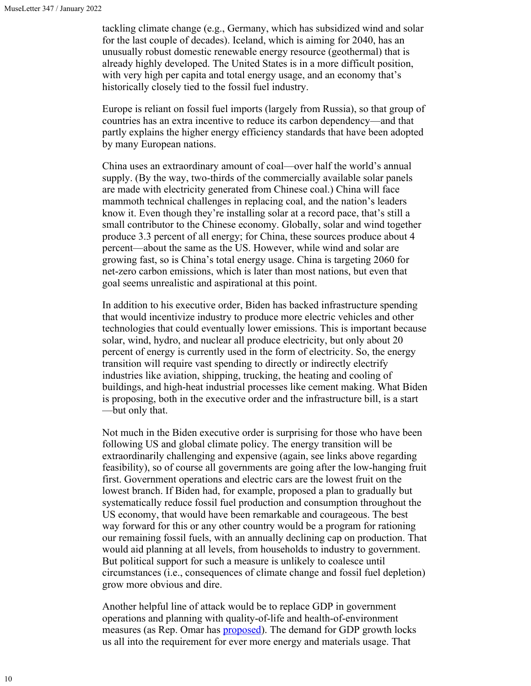tackling climate change (e.g., Germany, which has subsidized wind and solar for the last couple of decades). Iceland, which is aiming for 2040, has an unusually robust domestic renewable energy resource (geothermal) that is already highly developed. The United States is in a more difficult position, with very high per capita and total energy usage, and an economy that's historically closely tied to the fossil fuel industry.

Europe is reliant on fossil fuel imports (largely from Russia), so that group of countries has an extra incentive to reduce its carbon dependency—and that partly explains the higher energy efficiency standards that have been adopted by many European nations.

China uses an extraordinary amount of coal—over half the world's annual supply. (By the way, two-thirds of the commercially available solar panels are made with electricity generated from Chinese coal.) China will face mammoth technical challenges in replacing coal, and the nation's leaders know it. Even though they're installing solar at a record pace, that's still a small contributor to the Chinese economy. Globally, solar and wind together produce 3.3 percent of all energy; for China, these sources produce about 4 percent—about the same as the US. However, while wind and solar are growing fast, so is China's total energy usage. China is targeting 2060 for net-zero carbon emissions, which is later than most nations, but even that goal seems unrealistic and aspirational at this point.

In addition to his executive order, Biden has backed infrastructure spending that would incentivize industry to produce more electric vehicles and other technologies that could eventually lower emissions. This is important because solar, wind, hydro, and nuclear all produce electricity, but only about 20 percent of energy is currently used in the form of electricity. So, the energy transition will require vast spending to directly or indirectly electrify industries like aviation, shipping, trucking, the heating and cooling of buildings, and high-heat industrial processes like cement making. What Biden is proposing, both in the executive order and the infrastructure bill, is a start —but only that.

Not much in the Biden executive order is surprising for those who have been following US and global climate policy. The energy transition will be extraordinarily challenging and expensive (again, see links above regarding feasibility), so of course all governments are going after the low-hanging fruit first. Government operations and electric cars are the lowest fruit on the lowest branch. If Biden had, for example, proposed a plan to gradually but systematically reduce fossil fuel production and consumption throughout the US economy, that would have been remarkable and courageous. The best way forward for this or any other country would be a program for rationing our remaining fossil fuels, with an annually declining cap on production. That would aid planning at all levels, from households to industry to government. But political support for such a measure is unlikely to coalesce until circumstances (i.e., consequences of climate change and fossil fuel depletion) grow more obvious and dire.

Another helpful line of attack would be to replace GDP in government operations and planning with quality-of-life and health-of-environment measures (as Rep. Omar has [proposed](https://sustainable-economy.org/gpi-act-of-2021/)). The demand for GDP growth locks us all into the requirement for ever more energy and materials usage. That